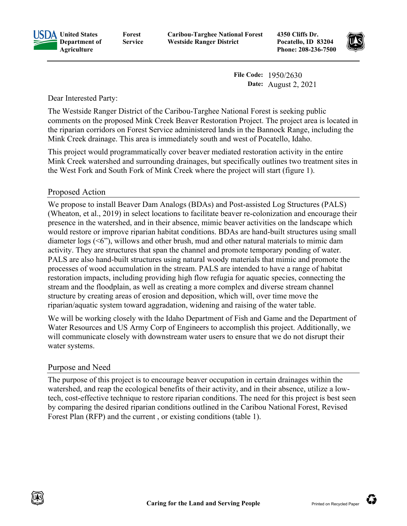

**Forest Service** **Caribou-Targhee National Forest Westside Ranger District**

**4350 Cliffs Dr. Pocatello, ID 83204 Phone: 208-236-7500**



**File Code:** 1950/2630 **Date:** August 2, 2021

Dear Interested Party:

The Westside Ranger District of the Caribou-Targhee National Forest is seeking public comments on the proposed Mink Creek Beaver Restoration Project. The project area is located in the riparian corridors on Forest Service administered lands in the Bannock Range, including the Mink Creek drainage. This area is immediately south and west of Pocatello, Idaho.

This project would programmatically cover beaver mediated restoration activity in the entire Mink Creek watershed and surrounding drainages, but specifically outlines two treatment sites in the West Fork and South Fork of Mink Creek where the project will start (figure 1).

## Proposed Action

We propose to install Beaver Dam Analogs (BDAs) and Post-assisted Log Structures (PALS) (Wheaton, et al., 2019) in select locations to facilitate beaver re-colonization and encourage their presence in the watershed, and in their absence, mimic beaver activities on the landscape which would restore or improve riparian habitat conditions. BDAs are hand-built structures using small diameter logs (<6"), willows and other brush, mud and other natural materials to mimic dam activity. They are structures that span the channel and promote temporary ponding of water. PALS are also hand-built structures using natural woody materials that mimic and promote the processes of wood accumulation in the stream. PALS are intended to have a range of habitat restoration impacts, including providing high flow refugia for aquatic species, connecting the stream and the floodplain, as well as creating a more complex and diverse stream channel structure by creating areas of erosion and deposition, which will, over time move the riparian/aquatic system toward aggradation, widening and raising of the water table.

We will be working closely with the Idaho Department of Fish and Game and the Department of Water Resources and US Army Corp of Engineers to accomplish this project. Additionally, we will communicate closely with downstream water users to ensure that we do not disrupt their water systems.

## Purpose and Need

The purpose of this project is to encourage beaver occupation in certain drainages within the watershed, and reap the ecological benefits of their activity, and in their absence, utilize a lowtech, cost-effective technique to restore riparian conditions. The need for this project is best seen by comparing the desired riparian conditions outlined in the Caribou National Forest, Revised Forest Plan (RFP) and the current , or existing conditions (table 1).

Ü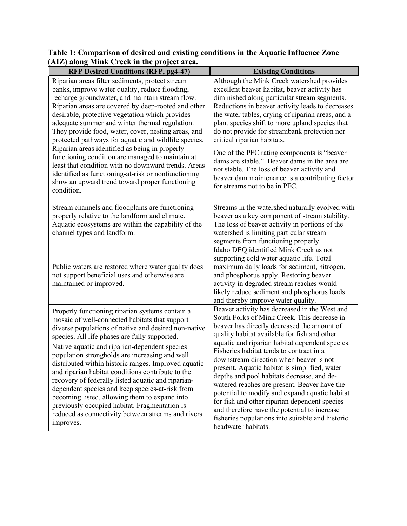| $\mathbf{H}$ and $\mathbf{H}$ and $\mathbf{H}$ and $\mathbf{H}$ are $\mathbf{H}$ and $\mathbf{H}$                                                                                                                                                                                                                                                                                                                                                                                                                                                                                                                                                                                                        |                                                                                                                                                                                                                                                                                                                                                                                                                                                                                                                                                                                                                                                                                                                    |
|----------------------------------------------------------------------------------------------------------------------------------------------------------------------------------------------------------------------------------------------------------------------------------------------------------------------------------------------------------------------------------------------------------------------------------------------------------------------------------------------------------------------------------------------------------------------------------------------------------------------------------------------------------------------------------------------------------|--------------------------------------------------------------------------------------------------------------------------------------------------------------------------------------------------------------------------------------------------------------------------------------------------------------------------------------------------------------------------------------------------------------------------------------------------------------------------------------------------------------------------------------------------------------------------------------------------------------------------------------------------------------------------------------------------------------------|
| <b>RFP Desired Conditions (RFP, pg4-47)</b>                                                                                                                                                                                                                                                                                                                                                                                                                                                                                                                                                                                                                                                              | <b>Existing Conditions</b>                                                                                                                                                                                                                                                                                                                                                                                                                                                                                                                                                                                                                                                                                         |
| Riparian areas filter sediments, protect stream<br>banks, improve water quality, reduce flooding,<br>recharge groundwater, and maintain stream flow.<br>Riparian areas are covered by deep-rooted and other<br>desirable, protective vegetation which provides<br>adequate summer and winter thermal regulation.<br>They provide food, water, cover, nesting areas, and<br>protected pathways for aquatic and wildlife species.                                                                                                                                                                                                                                                                          | Although the Mink Creek watershed provides<br>excellent beaver habitat, beaver activity has<br>diminished along particular stream segments.<br>Reductions in beaver activity leads to decreases<br>the water tables, drying of riparian areas, and a<br>plant species shift to more upland species that<br>do not provide for streambank protection nor<br>critical riparian habitats.                                                                                                                                                                                                                                                                                                                             |
| Riparian areas identified as being in properly<br>functioning condition are managed to maintain at<br>least that condition with no downward trends. Areas<br>identified as functioning-at-risk or nonfunctioning<br>show an upward trend toward proper functioning<br>condition.                                                                                                                                                                                                                                                                                                                                                                                                                         | One of the PFC rating components is "beaver<br>dams are stable." Beaver dams in the area are<br>not stable. The loss of beaver activity and<br>beaver dam maintenance is a contributing factor<br>for streams not to be in PFC.                                                                                                                                                                                                                                                                                                                                                                                                                                                                                    |
| Stream channels and floodplains are functioning<br>properly relative to the landform and climate.<br>Aquatic ecosystems are within the capability of the<br>channel types and landform.                                                                                                                                                                                                                                                                                                                                                                                                                                                                                                                  | Streams in the watershed naturally evolved with<br>beaver as a key component of stream stability.<br>The loss of beaver activity in portions of the<br>watershed is limiting particular stream<br>segments from functioning properly.                                                                                                                                                                                                                                                                                                                                                                                                                                                                              |
| Public waters are restored where water quality does<br>not support beneficial uses and otherwise are<br>maintained or improved.                                                                                                                                                                                                                                                                                                                                                                                                                                                                                                                                                                          | Idaho DEQ identified Mink Creek as not<br>supporting cold water aquatic life. Total<br>maximum daily loads for sediment, nitrogen,<br>and phosphorus apply. Restoring beaver<br>activity in degraded stream reaches would<br>likely reduce sediment and phosphorus loads<br>and thereby improve water quality.                                                                                                                                                                                                                                                                                                                                                                                                     |
| Properly functioning riparian systems contain a<br>mosaic of well-connected habitats that support<br>diverse populations of native and desired non-native<br>species. All life phases are fully supported.<br>Native aquatic and riparian-dependent species<br>population strongholds are increasing and well<br>distributed within historic ranges. Improved aquatic<br>and riparian habitat conditions contribute to the<br>recovery of federally listed aquatic and riparian-<br>dependent species and keep species-at-risk from<br>becoming listed, allowing them to expand into<br>previously occupied habitat. Fragmentation is<br>reduced as connectivity between streams and rivers<br>improves. | Beaver activity has decreased in the West and<br>South Forks of Mink Creek. This decrease in<br>beaver has directly decreased the amount of<br>quality habitat available for fish and other<br>aquatic and riparian habitat dependent species.<br>Fisheries habitat tends to contract in a<br>downstream direction when beaver is not<br>present. Aquatic habitat is simplified, water<br>depths and pool habitats decrease, and de-<br>watered reaches are present. Beaver have the<br>potential to modify and expand aquatic habitat<br>for fish and other riparian dependent species<br>and therefore have the potential to increase<br>fisheries populations into suitable and historic<br>headwater habitats. |

**Table 1: Comparison of desired and existing conditions in the Aquatic Influence Zone (AIZ) along Mink Creek in the project area.**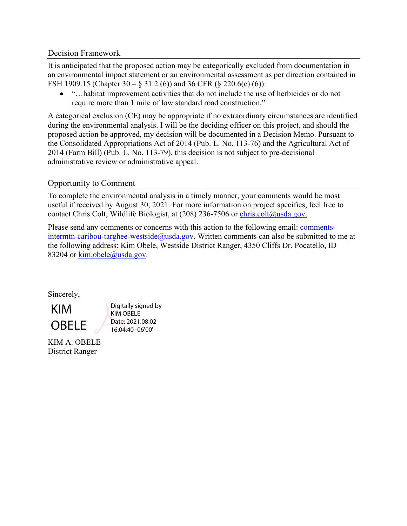## Decision Framework

It is anticipated that the proposed action may be categorically excluded from documentation in an environmental impact statement or an environmental assessment as per direction contained in FSH 1909.15 (Chapter 30 – § 31.2 (6)) and 36 CFR (§ 220.6(e) (6)):

• "…habitat improvement activities that do not include the use of herbicides or do not require more than 1 mile of low standard road construction."

A categorical exclusion (CE) may be appropriate if no extraordinary circumstances are identified during the environmental analysis. I will be the deciding officer on this project, and should the proposed action be approved, my decision will be documented in a Decision Memo. Pursuant to the Consolidated Appropriations Act of 2014 (Pub. L. No. 113-76) and the Agricultural Act of 2014 (Farm Bill) (Pub. L. No. 113-79), this decision is not subject to pre-decisional administrative review or administrative appeal.

## Opportunity to Comment

To complete the environmental analysis in a timely manner, your comments would be most useful if received by August 30, 2021. For more information on project specifics, feel free to contact Chris Colt, Wildlife Biologist, at (208) 236-7506 or [chris.colt@usda.gov.](mailto:chris.colt@usda.gov)

Please send any comments or concerns with this action to the following email: [comments](mailto:comments-intermtn-caribou-targhee-westside@usda.gov)[intermtn-caribou-targhee-westside@usda.gov.](mailto:comments-intermtn-caribou-targhee-westside@usda.gov) Written comments can also be submitted to me at the following address: Kim Obele, Westside District Ranger, 4350 Cliffs Dr. Pocatello, ID 83204 or [kim.obele@usda.gov.](mailto:kim.obele@usda.gov)

Sincerely,

KIM OBELE

Digitally signed by KIM OBELE Date: 2021.08.02 16:04:40 -06'00'

KIM A. OBELE District Ranger